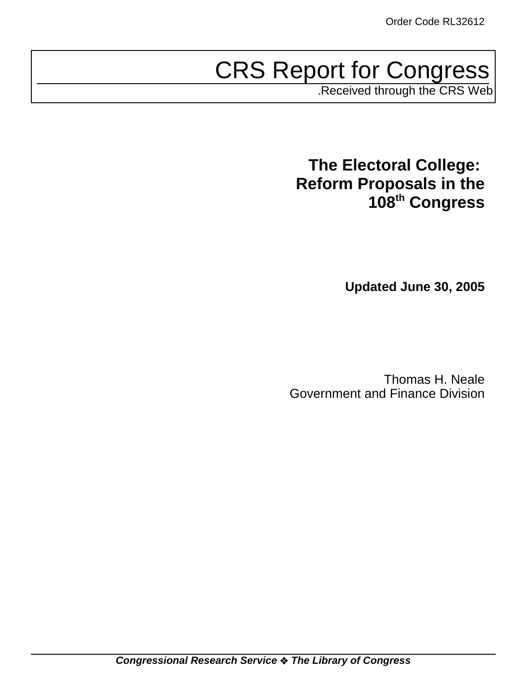# CRS Report for Congress

.Received through the CRS Web

# **The Electoral College: Reform Proposals in the 108th Congress**

**Updated June 30, 2005**

Thomas H. Neale Government and Finance Division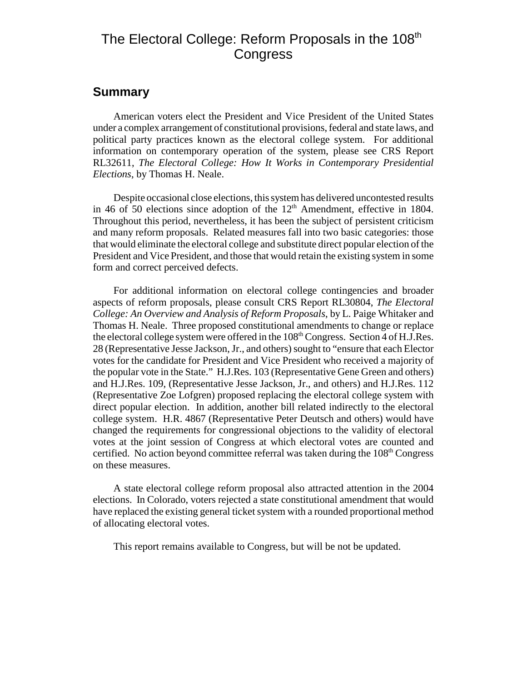## The Electoral College: Reform Proposals in the 108<sup>th</sup> **Congress**

#### **Summary**

American voters elect the President and Vice President of the United States under a complex arrangement of constitutional provisions, federal and state laws, and political party practices known as the electoral college system. For additional information on contemporary operation of the system, please see CRS Report RL32611, *The Electoral College: How It Works in Contemporary Presidential Elections*, by Thomas H. Neale.

Despite occasional close elections, this system has delivered uncontested results in 46 of 50 elections since adoption of the  $12<sup>th</sup>$  Amendment, effective in 1804. Throughout this period, nevertheless, it has been the subject of persistent criticism and many reform proposals. Related measures fall into two basic categories: those that would eliminate the electoral college and substitute direct popular election of the President and Vice President, and those that would retain the existing system in some form and correct perceived defects.

For additional information on electoral college contingencies and broader aspects of reform proposals, please consult CRS Report RL30804, *The Electoral College: An Overview and Analysis of Reform Proposals*, by L. Paige Whitaker and Thomas H. Neale. Three proposed constitutional amendments to change or replace the electoral college system were offered in the  $108<sup>th</sup>$  Congress. Section 4 of H.J.Res. 28 (Representative Jesse Jackson, Jr., and others) sought to "ensure that each Elector votes for the candidate for President and Vice President who received a majority of the popular vote in the State." H.J.Res. 103 (Representative Gene Green and others) and H.J.Res. 109, (Representative Jesse Jackson, Jr., and others) and H.J.Res. 112 (Representative Zoe Lofgren) proposed replacing the electoral college system with direct popular election. In addition, another bill related indirectly to the electoral college system. H.R. 4867 (Representative Peter Deutsch and others) would have changed the requirements for congressional objections to the validity of electoral votes at the joint session of Congress at which electoral votes are counted and certified. No action beyond committee referral was taken during the  $108<sup>th</sup>$  Congress on these measures.

A state electoral college reform proposal also attracted attention in the 2004 elections. In Colorado, voters rejected a state constitutional amendment that would have replaced the existing general ticket system with a rounded proportional method of allocating electoral votes.

This report remains available to Congress, but will be not be updated.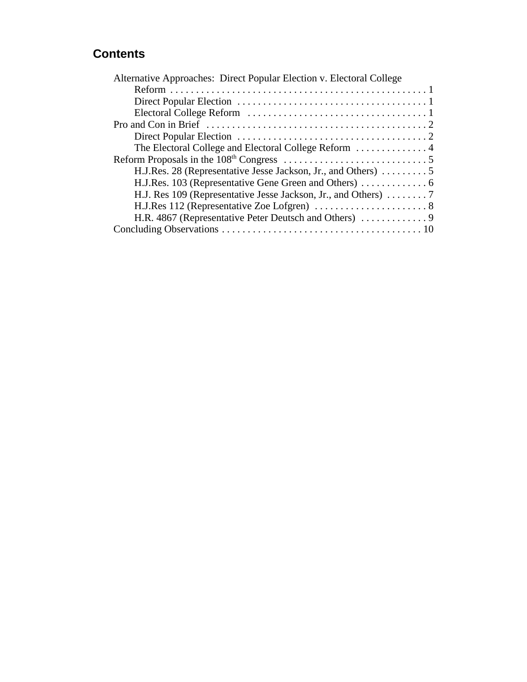## **Contents**

| Alternative Approaches: Direct Popular Election v. Electoral College |
|----------------------------------------------------------------------|
|                                                                      |
|                                                                      |
|                                                                      |
|                                                                      |
|                                                                      |
| The Electoral College and Electoral College Reform  4                |
|                                                                      |
|                                                                      |
|                                                                      |
|                                                                      |
|                                                                      |
|                                                                      |
|                                                                      |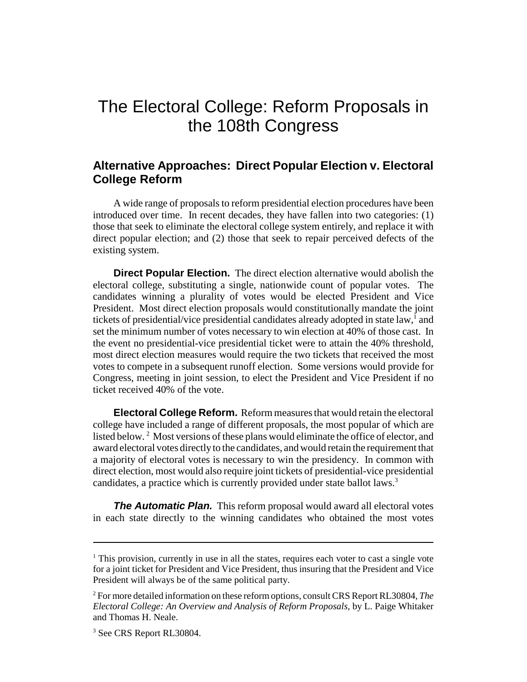# The Electoral College: Reform Proposals in the 108th Congress

#### **Alternative Approaches: Direct Popular Election v. Electoral College Reform**

A wide range of proposals to reform presidential election procedures have been introduced over time. In recent decades, they have fallen into two categories: (1) those that seek to eliminate the electoral college system entirely, and replace it with direct popular election; and (2) those that seek to repair perceived defects of the existing system.

**Direct Popular Election.** The direct election alternative would abolish the electoral college, substituting a single, nationwide count of popular votes. The candidates winning a plurality of votes would be elected President and Vice President. Most direct election proposals would constitutionally mandate the joint tickets of presidential/vice presidential candidates already adopted in state law,<sup>1</sup> and set the minimum number of votes necessary to win election at 40% of those cast. In the event no presidential-vice presidential ticket were to attain the 40% threshold, most direct election measures would require the two tickets that received the most votes to compete in a subsequent runoff election. Some versions would provide for Congress, meeting in joint session, to elect the President and Vice President if no ticket received 40% of the vote.

**Electoral College Reform.** Reform measures that would retain the electoral college have included a range of different proposals, the most popular of which are listed below.<sup>2</sup> Most versions of these plans would eliminate the office of elector, and award electoral votes directly to the candidates, and would retain the requirement that a majority of electoral votes is necessary to win the presidency. In common with direct election, most would also require joint tickets of presidential-vice presidential candidates, a practice which is currently provided under state ballot laws.<sup>3</sup>

**The Automatic Plan.** This reform proposal would award all electoral votes in each state directly to the winning candidates who obtained the most votes

<sup>&</sup>lt;sup>1</sup> This provision, currently in use in all the states, requires each voter to cast a single vote for a joint ticket for President and Vice President, thus insuring that the President and Vice President will always be of the same political party.

<sup>2</sup> For more detailed information on these reform options, consult CRS Report RL30804, *The Electoral College: An Overview and Analysis of Reform Proposals,* by L. Paige Whitaker and Thomas H. Neale.

<sup>&</sup>lt;sup>3</sup> See CRS Report RL30804.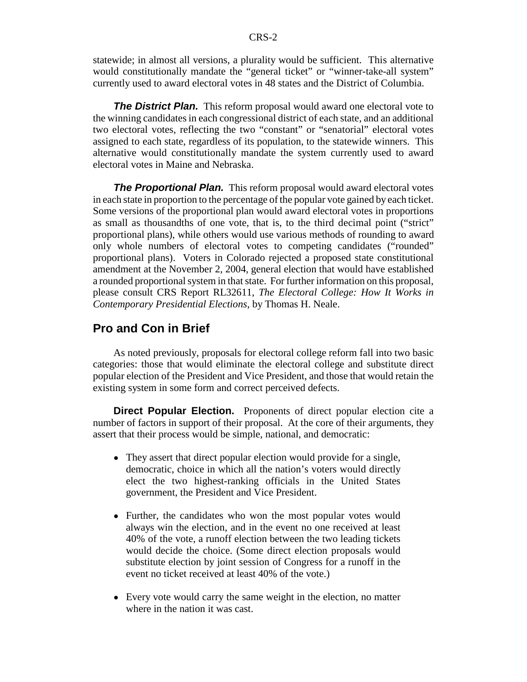statewide; in almost all versions, a plurality would be sufficient. This alternative would constitutionally mandate the "general ticket" or "winner-take-all system" currently used to award electoral votes in 48 states and the District of Columbia.

**The District Plan.** This reform proposal would award one electoral vote to the winning candidates in each congressional district of each state, and an additional two electoral votes, reflecting the two "constant" or "senatorial" electoral votes assigned to each state, regardless of its population, to the statewide winners. This alternative would constitutionally mandate the system currently used to award electoral votes in Maine and Nebraska.

**The Proportional Plan.** This reform proposal would award electoral votes in each state in proportion to the percentage of the popular vote gained by each ticket. Some versions of the proportional plan would award electoral votes in proportions as small as thousandths of one vote, that is, to the third decimal point ("strict" proportional plans), while others would use various methods of rounding to award only whole numbers of electoral votes to competing candidates ("rounded" proportional plans). Voters in Colorado rejected a proposed state constitutional amendment at the November 2, 2004, general election that would have established a rounded proportional system in that state. For further information on this proposal, please consult CRS Report RL32611, *The Electoral College: How It Works in Contemporary Presidential Elections*, by Thomas H. Neale.

#### **Pro and Con in Brief**

As noted previously, proposals for electoral college reform fall into two basic categories: those that would eliminate the electoral college and substitute direct popular election of the President and Vice President, and those that would retain the existing system in some form and correct perceived defects.

**Direct Popular Election.** Proponents of direct popular election cite a number of factors in support of their proposal. At the core of their arguments, they assert that their process would be simple, national, and democratic:

- They assert that direct popular election would provide for a single, democratic, choice in which all the nation's voters would directly elect the two highest-ranking officials in the United States government, the President and Vice President.
- Further, the candidates who won the most popular votes would always win the election, and in the event no one received at least 40% of the vote, a runoff election between the two leading tickets would decide the choice. (Some direct election proposals would substitute election by joint session of Congress for a runoff in the event no ticket received at least 40% of the vote.)
- Every vote would carry the same weight in the election, no matter where in the nation it was cast.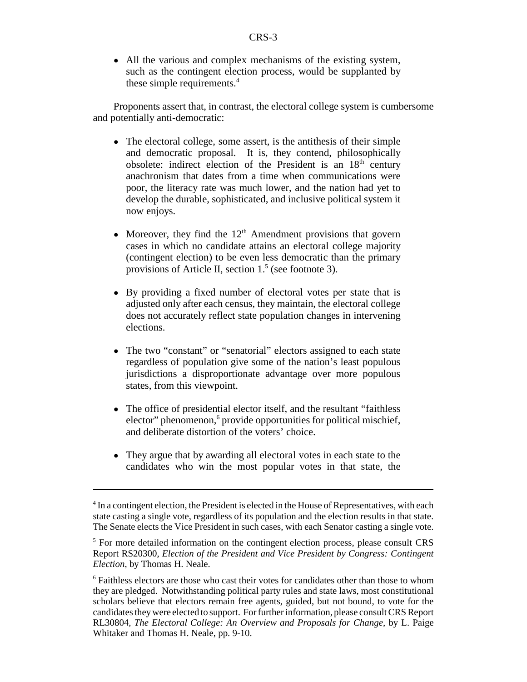• All the various and complex mechanisms of the existing system, such as the contingent election process, would be supplanted by these simple requirements.<sup>4</sup>

Proponents assert that, in contrast, the electoral college system is cumbersome and potentially anti-democratic:

- The electoral college, some assert, is the antithesis of their simple and democratic proposal. It is, they contend, philosophically obsolete: indirect election of the President is an 18<sup>th</sup> century anachronism that dates from a time when communications were poor, the literacy rate was much lower, and the nation had yet to develop the durable, sophisticated, and inclusive political system it now enjoys.
- Moreover, they find the  $12<sup>th</sup>$  Amendment provisions that govern cases in which no candidate attains an electoral college majority (contingent election) to be even less democratic than the primary provisions of Article II, section  $1<sup>5</sup>$  (see footnote 3).
- ! By providing a fixed number of electoral votes per state that is adjusted only after each census, they maintain, the electoral college does not accurately reflect state population changes in intervening elections.
- The two "constant" or "senatorial" electors assigned to each state regardless of population give some of the nation's least populous jurisdictions a disproportionate advantage over more populous states, from this viewpoint.
- The office of presidential elector itself, and the resultant "faithless" elector" phenomenon,<sup>6</sup> provide opportunities for political mischief, and deliberate distortion of the voters' choice.
- They argue that by awarding all electoral votes in each state to the candidates who win the most popular votes in that state, the

<sup>&</sup>lt;sup>4</sup> In a contingent election, the President is elected in the House of Representatives, with each state casting a single vote, regardless of its population and the election results in that state. The Senate elects the Vice President in such cases, with each Senator casting a single vote.

<sup>&</sup>lt;sup>5</sup> For more detailed information on the contingent election process, please consult CRS Report RS20300, *Election of the President and Vice President by Congress: Contingent Election*, by Thomas H. Neale.

<sup>&</sup>lt;sup>6</sup> Faithless electors are those who cast their votes for candidates other than those to whom they are pledged. Notwithstanding political party rules and state laws, most constitutional scholars believe that electors remain free agents, guided, but not bound, to vote for the candidates they were elected to support. For further information, please consult CRS Report RL30804, *The Electoral College: An Overview and Proposals for Change*, by L. Paige Whitaker and Thomas H. Neale, pp. 9-10.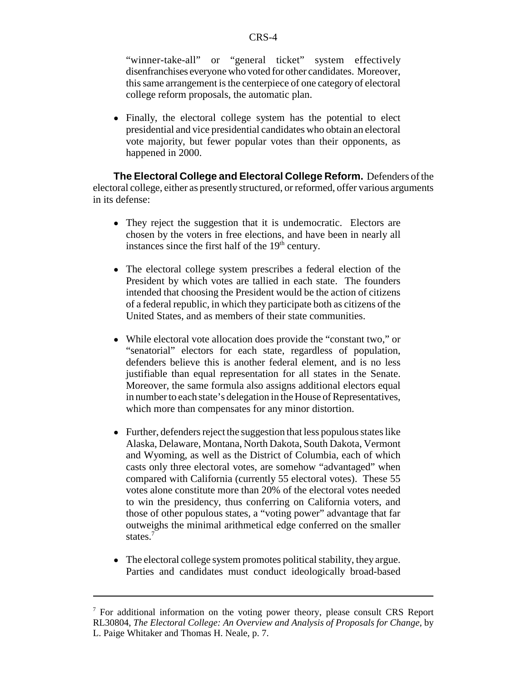"winner-take-all" or "general ticket" system effectively disenfranchises everyone who voted for other candidates. Moreover, this same arrangement is the centerpiece of one category of electoral college reform proposals, the automatic plan.

• Finally, the electoral college system has the potential to elect presidential and vice presidential candidates who obtain an electoral vote majority, but fewer popular votes than their opponents, as happened in 2000.

**The Electoral College and Electoral College Reform.** Defenders of the electoral college, either as presently structured, or reformed, offer various arguments in its defense:

- They reject the suggestion that it is undemocratic. Electors are chosen by the voters in free elections, and have been in nearly all instances since the first half of the  $19<sup>th</sup>$  century.
- The electoral college system prescribes a federal election of the President by which votes are tallied in each state. The founders intended that choosing the President would be the action of citizens of a federal republic, in which they participate both as citizens of the United States, and as members of their state communities.
- ! While electoral vote allocation does provide the "constant two," or "senatorial" electors for each state, regardless of population, defenders believe this is another federal element, and is no less justifiable than equal representation for all states in the Senate. Moreover, the same formula also assigns additional electors equal in number to each state's delegation in the House of Representatives, which more than compensates for any minor distortion.
- Further, defenders reject the suggestion that less populous states like Alaska, Delaware, Montana, North Dakota, South Dakota, Vermont and Wyoming, as well as the District of Columbia, each of which casts only three electoral votes, are somehow "advantaged" when compared with California (currently 55 electoral votes). These 55 votes alone constitute more than 20% of the electoral votes needed to win the presidency, thus conferring on California voters, and those of other populous states, a "voting power" advantage that far outweighs the minimal arithmetical edge conferred on the smaller states.<sup>7</sup>
- The electoral college system promotes political stability, they argue. Parties and candidates must conduct ideologically broad-based

<sup>&</sup>lt;sup>7</sup> For additional information on the voting power theory, please consult CRS Report RL30804, *The Electoral College: An Overview and Analysis of Proposals for Change*, by L. Paige Whitaker and Thomas H. Neale, p. 7.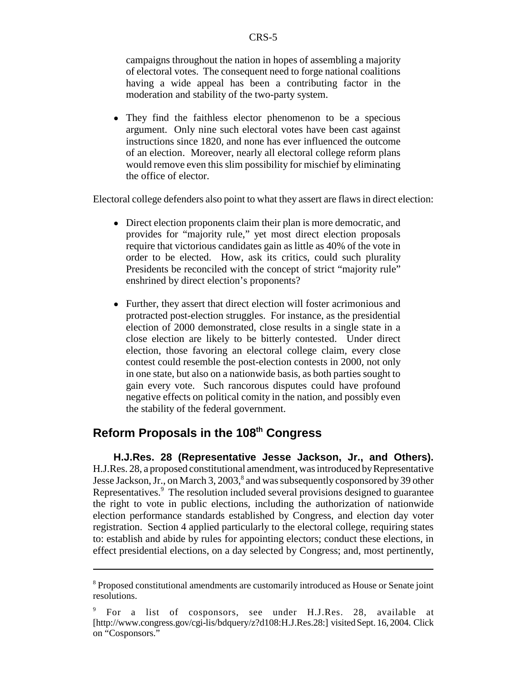campaigns throughout the nation in hopes of assembling a majority of electoral votes. The consequent need to forge national coalitions having a wide appeal has been a contributing factor in the moderation and stability of the two-party system.

• They find the faithless elector phenomenon to be a specious argument. Only nine such electoral votes have been cast against instructions since 1820, and none has ever influenced the outcome of an election. Moreover, nearly all electoral college reform plans would remove even this slim possibility for mischief by eliminating the office of elector.

Electoral college defenders also point to what they assert are flaws in direct election:

- ! Direct election proponents claim their plan is more democratic, and provides for "majority rule," yet most direct election proposals require that victorious candidates gain as little as 40% of the vote in order to be elected. How, ask its critics, could such plurality Presidents be reconciled with the concept of strict "majority rule" enshrined by direct election's proponents?
- Further, they assert that direct election will foster acrimonious and protracted post-election struggles. For instance, as the presidential election of 2000 demonstrated, close results in a single state in a close election are likely to be bitterly contested. Under direct election, those favoring an electoral college claim, every close contest could resemble the post-election contests in 2000, not only in one state, but also on a nationwide basis, as both parties sought to gain every vote. Such rancorous disputes could have profound negative effects on political comity in the nation, and possibly even the stability of the federal government.

### **Reform Proposals in the 108th Congress**

**H.J.Res. 28 (Representative Jesse Jackson, Jr., and Others).** H.J.Res. 28, a proposed constitutional amendment, was introduced by Representative Jesse Jackson, Jr., on March 3, 2003,<sup>8</sup> and was subsequently cosponsored by 39 other Representatives.<sup>9</sup> The resolution included several provisions designed to guarantee the right to vote in public elections, including the authorization of nationwide election performance standards established by Congress, and election day voter registration. Section 4 applied particularly to the electoral college, requiring states to: establish and abide by rules for appointing electors; conduct these elections, in effect presidential elections, on a day selected by Congress; and, most pertinently,

<sup>&</sup>lt;sup>8</sup> Proposed constitutional amendments are customarily introduced as House or Senate joint resolutions.

<sup>9</sup> For a list of cosponsors, see under H.J.Res. 28, available at [http://www.congress.gov/cgi-lis/bdquery/z?d108:H.J.Res.28:] visited Sept. 16, 2004. Click on "Cosponsors."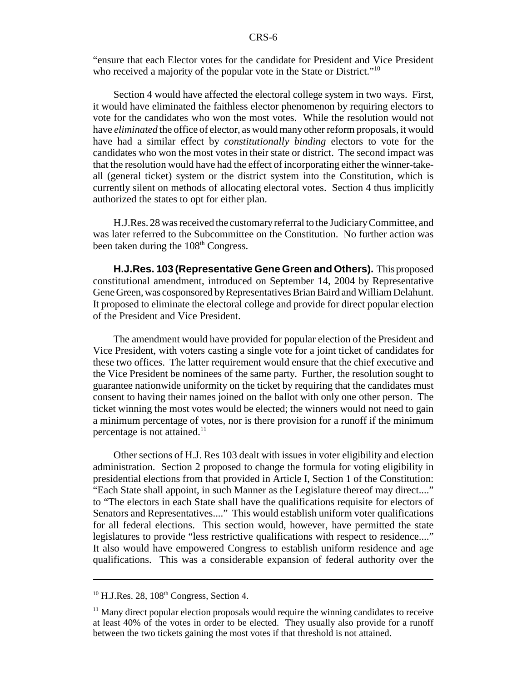"ensure that each Elector votes for the candidate for President and Vice President who received a majority of the popular vote in the State or District."<sup>10</sup>

Section 4 would have affected the electoral college system in two ways. First, it would have eliminated the faithless elector phenomenon by requiring electors to vote for the candidates who won the most votes. While the resolution would not have *eliminated* the office of elector, as would many other reform proposals, it would have had a similar effect by *constitutionally binding* electors to vote for the candidates who won the most votes in their state or district. The second impact was that the resolution would have had the effect of incorporating either the winner-takeall (general ticket) system or the district system into the Constitution, which is currently silent on methods of allocating electoral votes. Section 4 thus implicitly authorized the states to opt for either plan.

H.J.Res. 28 was received the customary referral to the Judiciary Committee, and was later referred to the Subcommittee on the Constitution. No further action was been taken during the 108<sup>th</sup> Congress.

**H.J.Res. 103 (Representative Gene Green and Others).** This proposed constitutional amendment, introduced on September 14, 2004 by Representative Gene Green, was cosponsored by Representatives Brian Baird and William Delahunt. It proposed to eliminate the electoral college and provide for direct popular election of the President and Vice President.

The amendment would have provided for popular election of the President and Vice President, with voters casting a single vote for a joint ticket of candidates for these two offices. The latter requirement would ensure that the chief executive and the Vice President be nominees of the same party. Further, the resolution sought to guarantee nationwide uniformity on the ticket by requiring that the candidates must consent to having their names joined on the ballot with only one other person. The ticket winning the most votes would be elected; the winners would not need to gain a minimum percentage of votes, nor is there provision for a runoff if the minimum percentage is not attained.<sup>11</sup>

Other sections of H.J. Res 103 dealt with issues in voter eligibility and election administration. Section 2 proposed to change the formula for voting eligibility in presidential elections from that provided in Article I, Section 1 of the Constitution: "Each State shall appoint, in such Manner as the Legislature thereof may direct...." to "The electors in each State shall have the qualifications requisite for electors of Senators and Representatives...." This would establish uniform voter qualifications for all federal elections. This section would, however, have permitted the state legislatures to provide "less restrictive qualifications with respect to residence...." It also would have empowered Congress to establish uniform residence and age qualifications. This was a considerable expansion of federal authority over the

 $10$  H.J.Res. 28,  $108<sup>th</sup>$  Congress, Section 4.

 $11$  Many direct popular election proposals would require the winning candidates to receive at least 40% of the votes in order to be elected. They usually also provide for a runoff between the two tickets gaining the most votes if that threshold is not attained.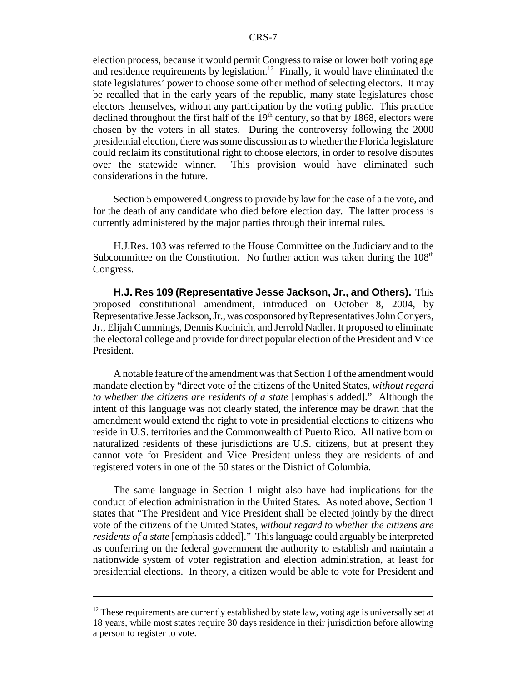election process, because it would permit Congress to raise or lower both voting age and residence requirements by legislation.<sup>12</sup> Finally, it would have eliminated the state legislatures' power to choose some other method of selecting electors. It may be recalled that in the early years of the republic, many state legislatures chose electors themselves, without any participation by the voting public. This practice declined throughout the first half of the  $19<sup>th</sup>$  century, so that by 1868, electors were chosen by the voters in all states. During the controversy following the 2000 presidential election, there was some discussion as to whether the Florida legislature could reclaim its constitutional right to choose electors, in order to resolve disputes over the statewide winner. This provision would have eliminated such considerations in the future.

Section 5 empowered Congress to provide by law for the case of a tie vote, and for the death of any candidate who died before election day. The latter process is currently administered by the major parties through their internal rules.

H.J.Res. 103 was referred to the House Committee on the Judiciary and to the Subcommittee on the Constitution. No further action was taken during the  $108<sup>th</sup>$ Congress.

**H.J. Res 109 (Representative Jesse Jackson, Jr., and Others).** This proposed constitutional amendment, introduced on October 8, 2004, by Representative Jesse Jackson, Jr., was cosponsored by Representatives John Conyers, Jr., Elijah Cummings, Dennis Kucinich, and Jerrold Nadler. It proposed to eliminate the electoral college and provide for direct popular election of the President and Vice President.

A notable feature of the amendment was that Section 1 of the amendment would mandate election by "direct vote of the citizens of the United States, *without regard to whether the citizens are residents of a state* [emphasis added]." Although the intent of this language was not clearly stated, the inference may be drawn that the amendment would extend the right to vote in presidential elections to citizens who reside in U.S. territories and the Commonwealth of Puerto Rico. All native born or naturalized residents of these jurisdictions are U.S. citizens, but at present they cannot vote for President and Vice President unless they are residents of and registered voters in one of the 50 states or the District of Columbia.

The same language in Section 1 might also have had implications for the conduct of election administration in the United States. As noted above, Section 1 states that "The President and Vice President shall be elected jointly by the direct vote of the citizens of the United States, *without regard to whether the citizens are residents of a state* [emphasis added]." This language could arguably be interpreted as conferring on the federal government the authority to establish and maintain a nationwide system of voter registration and election administration, at least for presidential elections. In theory, a citizen would be able to vote for President and

 $12$  These requirements are currently established by state law, voting age is universally set at 18 years, while most states require 30 days residence in their jurisdiction before allowing a person to register to vote.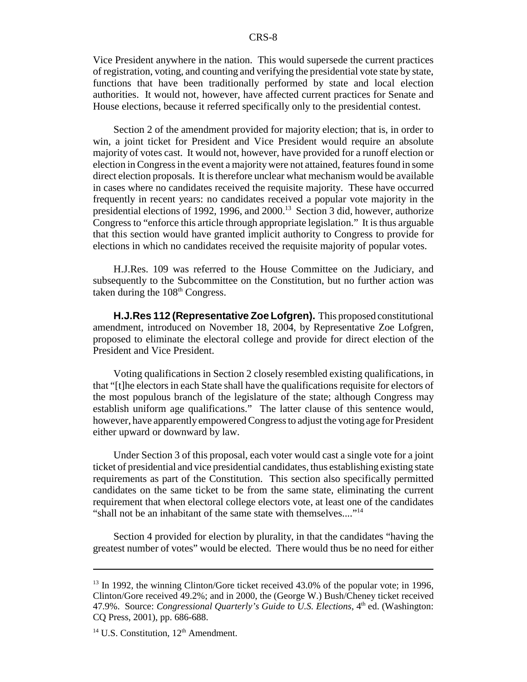Vice President anywhere in the nation. This would supersede the current practices of registration, voting, and counting and verifying the presidential vote state by state, functions that have been traditionally performed by state and local election authorities. It would not, however, have affected current practices for Senate and House elections, because it referred specifically only to the presidential contest.

Section 2 of the amendment provided for majority election; that is, in order to win, a joint ticket for President and Vice President would require an absolute majority of votes cast. It would not, however, have provided for a runoff election or election in Congress in the event a majority were not attained, features found in some direct election proposals. It is therefore unclear what mechanism would be available in cases where no candidates received the requisite majority. These have occurred frequently in recent years: no candidates received a popular vote majority in the presidential elections of 1992, 1996, and 2000.13 Section 3 did, however, authorize Congress to "enforce this article through appropriate legislation." It is thus arguable that this section would have granted implicit authority to Congress to provide for elections in which no candidates received the requisite majority of popular votes.

H.J.Res. 109 was referred to the House Committee on the Judiciary, and subsequently to the Subcommittee on the Constitution, but no further action was taken during the  $108<sup>th</sup>$  Congress.

**H.J.Res 112 (Representative Zoe Lofgren).** This proposed constitutional amendment, introduced on November 18, 2004, by Representative Zoe Lofgren, proposed to eliminate the electoral college and provide for direct election of the President and Vice President.

Voting qualifications in Section 2 closely resembled existing qualifications, in that "[t]he electors in each State shall have the qualifications requisite for electors of the most populous branch of the legislature of the state; although Congress may establish uniform age qualifications." The latter clause of this sentence would, however, have apparently empowered Congress to adjust the voting age for President either upward or downward by law.

Under Section 3 of this proposal, each voter would cast a single vote for a joint ticket of presidential and vice presidential candidates, thus establishing existing state requirements as part of the Constitution. This section also specifically permitted candidates on the same ticket to be from the same state, eliminating the current requirement that when electoral college electors vote, at least one of the candidates "shall not be an inhabitant of the same state with themselves...."<sup>14</sup>

Section 4 provided for election by plurality, in that the candidates "having the greatest number of votes" would be elected. There would thus be no need for either

<sup>&</sup>lt;sup>13</sup> In 1992, the winning Clinton/Gore ticket received 43.0% of the popular vote; in 1996, Clinton/Gore received 49.2%; and in 2000, the (George W.) Bush/Cheney ticket received 47.9%. Source: *Congressional Quarterly's Guide to U.S. Elections*, 4<sup>th</sup> ed. (Washington: CQ Press, 2001), pp. 686-688.

 $14$  U.S. Constitution,  $12<sup>th</sup>$  Amendment.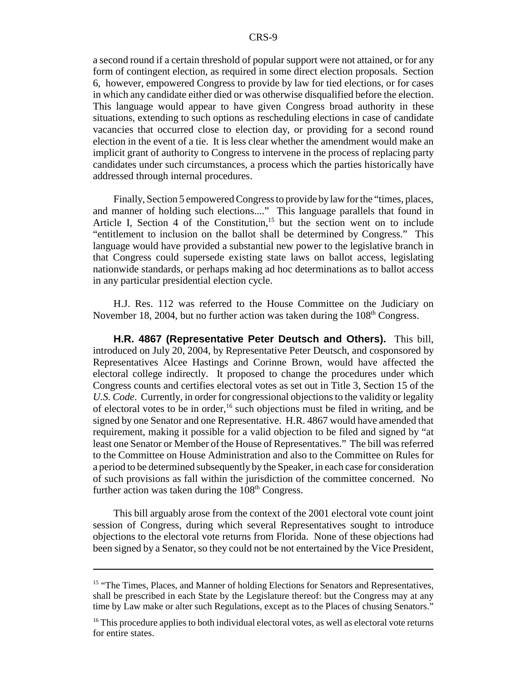a second round if a certain threshold of popular support were not attained, or for any form of contingent election, as required in some direct election proposals. Section 6, however, empowered Congress to provide by law for tied elections, or for cases in which any candidate either died or was otherwise disqualified before the election. This language would appear to have given Congress broad authority in these situations, extending to such options as rescheduling elections in case of candidate vacancies that occurred close to election day, or providing for a second round election in the event of a tie. It is less clear whether the amendment would make an implicit grant of authority to Congress to intervene in the process of replacing party candidates under such circumstances, a process which the parties historically have addressed through internal procedures.

Finally, Section 5 empowered Congress to provide by law for the "times, places, and manner of holding such elections...." This language parallels that found in Article I, Section 4 of the Constitution,<sup>15</sup> but the section went on to include "entitlement to inclusion on the ballot shall be determined by Congress." This language would have provided a substantial new power to the legislative branch in that Congress could supersede existing state laws on ballot access, legislating nationwide standards, or perhaps making ad hoc determinations as to ballot access in any particular presidential election cycle.

H.J. Res. 112 was referred to the House Committee on the Judiciary on November 18, 2004, but no further action was taken during the  $108<sup>th</sup>$  Congress.

**H.R. 4867 (Representative Peter Deutsch and Others).** This bill, introduced on July 20, 2004, by Representative Peter Deutsch, and cosponsored by Representatives Alcee Hastings and Corinne Brown, would have affected the electoral college indirectly. It proposed to change the procedures under which Congress counts and certifies electoral votes as set out in Title 3, Section 15 of the *U.S. Code*. Currently, in order for congressional objections to the validity or legality of electoral votes to be in order,<sup>16</sup> such objections must be filed in writing, and be signed by one Senator and one Representative. H.R. 4867 would have amended that requirement, making it possible for a valid objection to be filed and signed by "at least one Senator or Member of the House of Representatives." The bill was referred to the Committee on House Administration and also to the Committee on Rules for a period to be determined subsequently by the Speaker, in each case for consideration of such provisions as fall within the jurisdiction of the committee concerned. No further action was taken during the  $108<sup>th</sup>$  Congress.

This bill arguably arose from the context of the 2001 electoral vote count joint session of Congress, during which several Representatives sought to introduce objections to the electoral vote returns from Florida. None of these objections had been signed by a Senator, so they could not be not entertained by the Vice President,

<sup>&</sup>lt;sup>15</sup> "The Times, Places, and Manner of holding Elections for Senators and Representatives, shall be prescribed in each State by the Legislature thereof: but the Congress may at any time by Law make or alter such Regulations, except as to the Places of chusing Senators."

 $16$ <sup>16</sup> This procedure applies to both individual electoral votes, as well as electoral vote returns for entire states.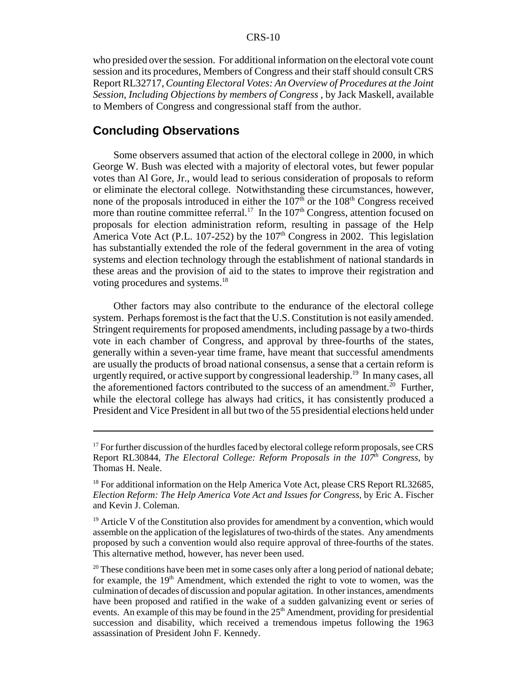who presided over the session. For additional information on the electoral vote count session and its procedures, Members of Congress and their staff should consult CRS Report RL32717, *Counting Electoral Votes: An Overview of Procedures at the Joint Session, Including Objections by members of Congress* , by Jack Maskell, available to Members of Congress and congressional staff from the author.

#### **Concluding Observations**

Some observers assumed that action of the electoral college in 2000, in which George W. Bush was elected with a majority of electoral votes, but fewer popular votes than Al Gore, Jr., would lead to serious consideration of proposals to reform or eliminate the electoral college. Notwithstanding these circumstances, however, none of the proposals introduced in either the  $107<sup>th</sup>$  or the  $108<sup>th</sup>$  Congress received more than routine committee referral.<sup>17</sup> In the  $107<sup>th</sup>$  Congress, attention focused on proposals for election administration reform, resulting in passage of the Help America Vote Act (P.L. 107-252) by the 107<sup>th</sup> Congress in 2002. This legislation has substantially extended the role of the federal government in the area of voting systems and election technology through the establishment of national standards in these areas and the provision of aid to the states to improve their registration and voting procedures and systems.<sup>18</sup>

Other factors may also contribute to the endurance of the electoral college system. Perhaps foremost is the fact that the U.S. Constitution is not easily amended. Stringent requirements for proposed amendments, including passage by a two-thirds vote in each chamber of Congress, and approval by three-fourths of the states, generally within a seven-year time frame, have meant that successful amendments are usually the products of broad national consensus, a sense that a certain reform is urgently required, or active support by congressional leadership.<sup>19</sup> In many cases, all the aforementioned factors contributed to the success of an amendment.<sup>20</sup> Further, while the electoral college has always had critics, it has consistently produced a President and Vice President in all but two of the 55 presidential elections held under

 $17$  For further discussion of the hurdles faced by electoral college reform proposals, see CRS Report RL30844, *The Electoral College: Reform Proposals in the 107th Congress*, by Thomas H. Neale.

 $18$  For additional information on the Help America Vote Act, please CRS Report RL32685, *Election Reform: The Help America Vote Act and Issues for Congress*, by Eric A. Fischer and Kevin J. Coleman.

 $19$  Article V of the Constitution also provides for amendment by a convention, which would assemble on the application of the legislatures of two-thirds of the states. Any amendments proposed by such a convention would also require approval of three-fourths of the states. This alternative method, however, has never been used.

 $20$  These conditions have been met in some cases only after a long period of national debate; for example, the  $19<sup>th</sup>$  Amendment, which extended the right to vote to women, was the culmination of decades of discussion and popular agitation. In other instances, amendments have been proposed and ratified in the wake of a sudden galvanizing event or series of events. An example of this may be found in the  $25<sup>th</sup>$  Amendment, providing for presidential succession and disability, which received a tremendous impetus following the 1963 assassination of President John F. Kennedy.